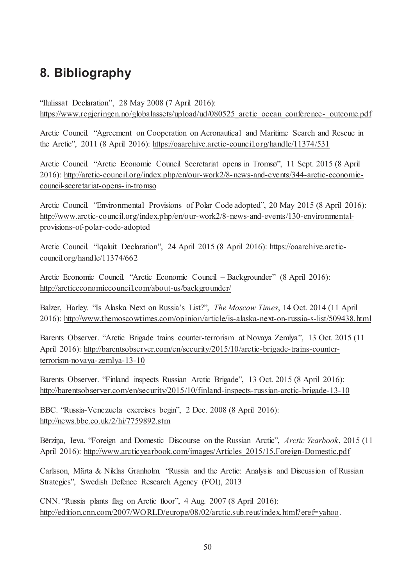## **8. Bibliography**

"Ilulissat Declaration", 28 May 2008 (7 April 2016): https://www.regjeringen.no/globalassets/upload/ud/080525 arctic\_ocean\_conference-\_outcome.pdf

Arctic Council. "Agreement on Cooperation on Aeronautical and Maritime Search and Rescue in the Arctic", 2011 (8 April 2016): https://oaarchive.arctic-council.org/handle/11374/531

Arctic Council. "Arctic Economic Council Secretariat opens in Tromsø", 11 Sept. 2015 (8 April 2016): http://arctic-council.org/index.php/en/our-work2/8-news-and-events/344-arctic-economiccouncil-secretariat-opens-in-tromso

Arctic Council. "Environmental Provisions of Polar Code adopted", 20 May 2015 (8 April 2016): http://www.arctic-council.org/index.php/en/our-work2/8-news-and-events/130-environmentalprovisions-of-polar-code-adopted

Arctic Council. "Iqaluit Declaration", 24 April 2015 (8 April 2016): https://oaarchive.arcticcouncil.org/handle/11374/662

Arctic Economic Council. "Arctic Economic Council – Backgrounder" (8 April 2016): http://arcticeconomiccouncil.com/about-us/backgrounder/

Balzer, Harley. "Is Alaska Next on Russia's List?", *The Moscow Times*, 14 Oct. 2014 (11 April 2016): http://www.themoscowtimes.com/opinion/article/is-alaska-next-on-russia-s-list/509438.html

Barents Observer. "Arctic Brigade trains counter-terrorism at Novaya Zemlya", 13 Oct. 2015 (11 April 2016): http://barentsobserver.com/en/security/2015/10/arctic-brigade-trains-counterterrorism-novaya-zemlya-13-10

Barents Observer. "Finland inspects Russian Arctic Brigade", 13 Oct. 2015 (8 April 2016): http://barentsobserver.com/en/security/2015/10/finland-inspects-russian-arctic-brigade-13-10

BBC. "Russia-Venezuela exercises begin", 2 Dec. 2008 (8 April 2016): http://news.bbc.co.uk/2/hi/7759892.stm

Bērziņa, Ieva. "Foreign and Domestic Discourse on the Russian Arctic", *Arctic Yearbook*, 2015 (11 April 2016): http://www.arcticyearbook.com/images/Articles 2015/15.Foreign-Domestic.pdf

Carlsson, Märta & Niklas Granholm. "Russia and the Arctic: Analysis and Discussion of Russian Strategies", Swedish Defence Research Agency (FOI), 2013

CNN. "Russia plants flag on Arctic floor", 4 Aug. 2007 (8 April 2016): http://edition.cnn.com/2007/WORLD/europe/08/02/arctic.sub.reut/index.html?eref=yahoo.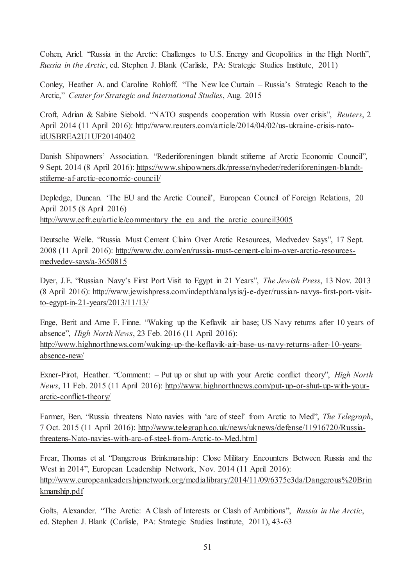Cohen, Ariel. "Russia in the Arctic: Challenges to U.S. Energy and Geopolitics in the High North", *Russia in the Arctic*, ed. Stephen J. Blank (Carlisle, PA: Strategic Studies Institute, 2011)

Conley, Heather A. and Caroline Rohloff. "The New Ice Curtain – Russia's Strategic Reach to the Arctic," *Center for Strategic and International Studies*, Aug. 2015

Croft, Adrian & Sabine Siebold. "NATO suspends cooperation with Russia over crisis", *Reuters*, 2 April 2014 (11 April 2016): http://www.reuters.com/article/2014/04/02/us-ukraine-crisis-natoidUSBREA2U1UF20140402

Danish Shipowners' Association. "Rederiforeningen blandt stifterne af Arctic Economic Council", 9 Sept. 2014 (8 April 2016): https://www.shipowners.dk/presse/nyheder/rederiforeningen-blandtstifterne-af-arctic-economic-council/

Depledge, Duncan. 'The EU and the Arctic Council', European Council of Foreign Relations, 20 April 2015 (8 April 2016) http://www.ecfr.eu/article/commentary the eu and the arctic council3005

Deutsche Welle. "Russia Must Cement Claim Over Arctic Resources, Medvedev Says", 17 Sept. 2008 (11 April 2016): http://www.dw.com/en/russia-must-cement-claim-over-arctic-resourcesmedvedev-says/a-3650815

Dyer, J.E. "Russian Navy's First Port Visit to Egypt in 21 Years", *The Jewish Press*, 13 Nov. 2013 (8 April 2016): http://www.jewishpress.com/indepth/analysis/j-e-dyer/russian-navys-first-port-visitto-egypt-in-21-years/2013/11/13/

Enge, Berit and Arne F. Finne. "Waking up the Keflavik air base; US Navy returns after 10 years of absence", *High North News*, 23 Feb. 2016 (11 April 2016): http://www.highnorthnews.com/waking-up-the-keflavik-air-base-us-navy-returns-after-10-yearsabsence-new/

Exner-Pirot, Heather. "Comment: – Put up or shut up with your Arctic conflict theory", *High North News*, 11 Feb. 2015 (11 April 2016): http://www.highnorthnews.com/put-up-or-shut-up-with-yourarctic-conflict-theory/

Farmer, Ben. "Russia threatens Nato navies with 'arc of steel' from Arctic to Med", *The Telegraph*, 7 Oct. 2015 (11 April 2016): http://www.telegraph.co.uk/news/uknews/defense/11916720/Russiathreatens-Nato-navies-with-arc-of-steel-from-Arctic-to-Med.html

Frear, Thomas et al. "Dangerous Brinkmanship: Close Military Encounters Between Russia and the West in 2014", European Leadership Network, Nov. 2014 (11 April 2016): http://www.europeanleadershipnetwork.org/medialibrary/2014/11/09/6375e3da/Dangerous%20Brin kmanship.pdf

Golts, Alexander. "The Arctic: A Clash of Interests or Clash of Ambitions", *Russia in the Arctic*, ed. Stephen J. Blank (Carlisle, PA: Strategic Studies Institute, 2011), 43-63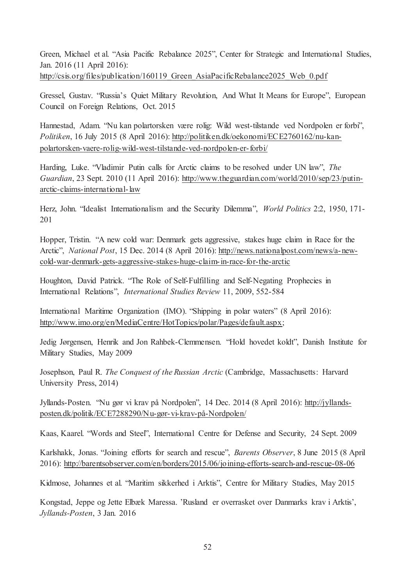Green, Michael et al. "Asia Pacific Rebalance 2025", Center for Strategic and International Studies, Jan. 2016 (11 April 2016): http://csis.org/files/publication/160119 Green AsiaPacificRebalance2025 Web 0.pdf

Gressel, Gustav. "Russia's Quiet Military Revolution, And What It Means for Europe", European Council on Foreign Relations, Oct. 2015

Hannestad, Adam. "Nu kan polartorsken være rolig: Wild west-tilstande ved Nordpolen er forbi", *Politiken*, 16 July 2015 (8 April 2016): http://politiken.dk/oekonomi/ECE2760162/nu-kanpolartorsken-vaere-rolig-wild-west-tilstande-ved-nordpolen-er-forbi/

Harding, Luke. "Vladimir Putin calls for Arctic claims to be resolved under UN law", *The Guardian*, 23 Sept. 2010 (11 April 2016): http://www.theguardian.com/world/2010/sep/23/putinarctic-claims-international-law

Herz, John. "Idealist Internationalism and the Security Dilemma", *World Politics* 2:2, 1950, 171- 201

Hopper, Tristin. "A new cold war: Denmark gets aggressive, stakes huge claim in Race for the Arctic", *National Post*, 15 Dec. 2014 (8 April 2016): http://news.nationalpost.com/news/a-newcold-war-denmark-gets-aggressive-stakes-huge-claim-in-race-for-the-arctic

Houghton, David Patrick. "The Role of Self-Fulfilling and Self-Negating Prophecies in International Relations", *International Studies Review* 11, 2009, 552-584

International Maritime Organization (IMO). "Shipping in polar waters" (8 April 2016): http://www.imo.org/en/MediaCentre/HotTopics/polar/Pages/default.aspx;

Jedig Jørgensen, Henrik and Jon Rahbek-Clemmensen. "Hold hovedet koldt", Danish Institute for Military Studies, May 2009

Josephson, Paul R. *The Conquest of the Russian Arctic* (Cambridge, Massachusetts: Harvard University Press, 2014)

Jyllands-Posten. "Nu gør vi krav på Nordpolen", 14 Dec. 2014 (8 April 2016): http://jyllandsposten.dk/politik/ECE7288290/Nu-gør-vi-krav-på-Nordpolen/

Kaas, Kaarel. "Words and Steel", International Centre for Defense and Security, 24 Sept. 2009

Karlshakk, Jonas. "Joining efforts for search and rescue", *Barents Observer*, 8 June 2015 (8 April 2016): http://barentsobserver.com/en/borders/2015/06/joining-efforts-search-and-rescue-08-06

Kidmose, Johannes et al. "Maritim sikkerhed i Arktis", Centre for Military Studies, May 2015

Kongstad, Jeppe og Jette Elbæk Maressa. 'Rusland er overrasket over Danmarks krav i Arktis', *Jyllands-Posten*, 3 Jan. 2016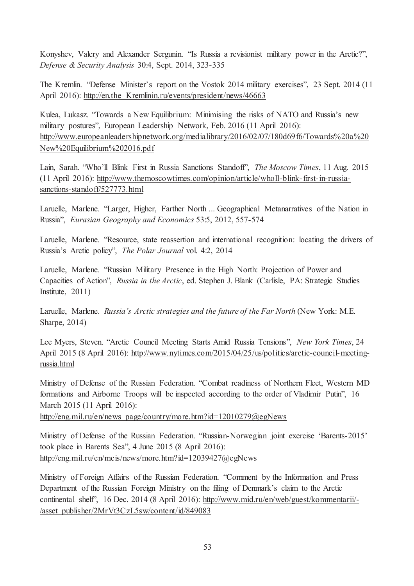Konyshev, Valery and Alexander Sergunin. "Is Russia a revisionist military power in the Arctic?", *Defense & Security Analysis* 30:4, Sept. 2014, 323-335

The Kremlin. "Defense Minister's report on the Vostok 2014 military exercises", 23 Sept. 2014 (11 April 2016): http://en.the Kremlinin.ru/events/president/news/46663

Kulea, Lukasz. "Towards a New Equilibrium: Minimising the risks of NATO and Russia's new military postures", European Leadership Network, Feb. 2016 (11 April 2016): http://www.europeanleadershipnetwork.org/medialibrary/2016/02/07/180d69f6/Towards%20a%20 New%20Equilibrium%202016.pdf

Lain, Sarah. "Who'll Blink First in Russia Sanctions Standoff", *The Moscow Times*, 11 Aug. 2015 (11 April 2016): http://www.themoscowtimes.com/opinion/article/wholl-blink-first-in-russiasanctions-standoff/527773.html

Laruelle, Marlene. "Larger, Higher, Farther North ... Geographical Metanarratives of the Nation in Russia", *Eurasian Geography and Economics* 53:5, 2012, 557-574

Laruelle, Marlene. "Resource, state reassertion and international recognition: locating the drivers of Russia's Arctic policy", *The Polar Journal* vol. 4:2, 2014

Laruelle, Marlene. "Russian Military Presence in the High North: Projection of Power and Capacities of Action", *Russia in the Arctic*, ed. Stephen J. Blank (Carlisle, PA: Strategic Studies Institute, 2011)

Laruelle, Marlene. *Russia's Arctic strategies and the future of the Far North* (New York: M.E. Sharpe, 2014)

Lee Myers, Steven. "Arctic Council Meeting Starts Amid Russia Tensions", *New York Times*, 24 April 2015 (8 April 2016): http://www.nytimes.com/2015/04/25/us/politics/arctic-council-meetingrussia.html

Ministry of Defense of the Russian Federation. "Combat readiness of Northern Fleet, Western MD formations and Airborne Troops will be inspected according to the order of Vladimir Putin", 16 March 2015 (11 April 2016):

http://eng.mil.ru/en/news\_page/country/more.htm?id=12010279@egNews

Ministry of Defense of the Russian Federation. "Russian-Norwegian joint exercise 'Barents-2015' took place in Barents Sea", 4 June 2015 (8 April 2016): http://eng.mil.ru/en/mcis/news/more.htm?id=12039427@egNews

Ministry of Foreign Affairs of the Russian Federation. "Comment by the Information and Press Department of the Russian Foreign Ministry on the filing of Denmark's claim to the Arctic continental shelf", 16 Dec. 2014 (8 April 2016): http://www.mid.ru/en/web/guest/kommentarii/- /asset\_publisher/2MrVt3CzL5sw/content/id/849083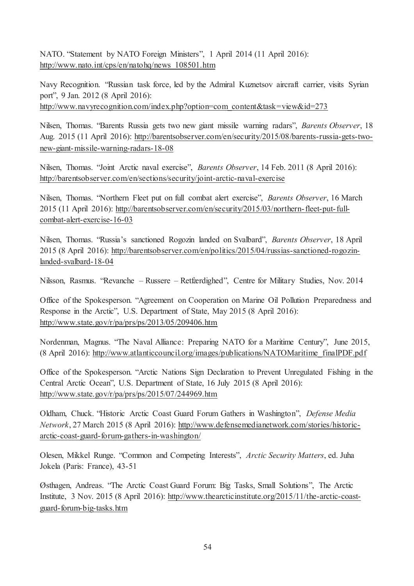NATO. "Statement by NATO Foreign Ministers", 1 April 2014 (11 April 2016): http://www.nato.int/cps/en/natohq/news\_108501.htm

Navy Recognition. "Russian task force, led by the Admiral Kuznetsov aircraft carrier, visits Syrian port", 9 Jan. 2012 (8 April 2016): http://www.navyrecognition.com/index.php?option=com\_content&task=view&id=273

Nilsen, Thomas. "Barents Russia gets two new giant missile warning radars", *Barents Observer*, 18 Aug. 2015 (11 April 2016): http://barentsobserver.com/en/security/2015/08/barents-russia-gets-twonew-giant-missile-warning-radars-18-08

Nilsen, Thomas. "Joint Arctic naval exercise", *Barents Observer*, 14 Feb. 2011 (8 April 2016): http://barentsobserver.com/en/sections/security/joint-arctic-naval-exercise

Nilsen, Thomas. "Northern Fleet put on full combat alert exercise", *Barents Observer*, 16 March 2015 (11 April 2016): http://barentsobserver.com/en/security/2015/03/northern-fleet-put-fullcombat-alert-exercise-16-03

Nilsen, Thomas. "Russia's sanctioned Rogozin landed on Svalbard", *Barents Observer*, 18 April 2015 (8 April 2016): http://barentsobserver.com/en/politics/2015/04/russias-sanctioned-rogozinlanded-svalbard-18-04

Nilsson, Rasmus. "Revanche – Russere – Retfærdighed", Centre for Military Studies, Nov. 2014

Office of the Spokesperson. "Agreement on Cooperation on Marine Oil Pollution Preparedness and Response in the Arctic", U.S. Department of State, May 2015 (8 April 2016): http://www.state.gov/r/pa/prs/ps/2013/05/209406.htm

Nordenman, Magnus. "The Naval Alliance: Preparing NATO for a Maritime Century", June 2015, (8 April 2016): http://www.atlanticcouncil.org/images/publications/NATOMaritime\_finalPDF.pdf

Office of the Spokesperson. "Arctic Nations Sign Declaration to Prevent Unregulated Fishing in the Central Arctic Ocean", U.S. Department of State, 16 July 2015 (8 April 2016): http://www.state.gov/r/pa/prs/ps/2015/07/244969.htm

Oldham, Chuck. "Historic Arctic Coast Guard Forum Gathers in Washington", *Defense Media Network*, 27 March 2015 (8 April 2016): http://www.defensemedianetwork.com/stories/historicarctic-coast-guard-forum-gathers-in-washington/

Olesen, Mikkel Runge. "Common and Competing Interests", *Arctic Security Matters*, ed. Juha Jokela (Paris: France), 43-51

Østhagen, Andreas. "The Arctic Coast Guard Forum: Big Tasks, Small Solutions", The Arctic Institute, 3 Nov. 2015 (8 April 2016): http://www.thearcticinstitute.org/2015/11/the-arctic-coastguard-forum-big-tasks.htm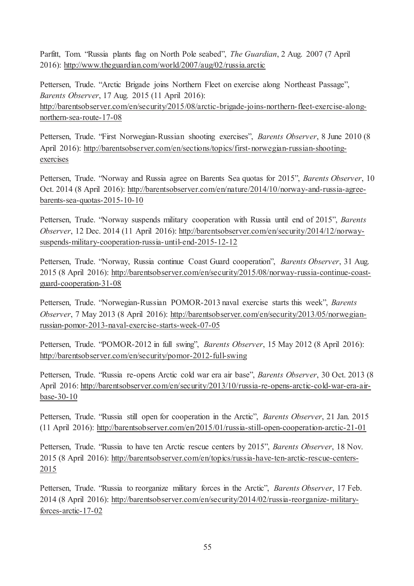Parfitt, Tom. "Russia plants flag on North Pole seabed", *The Guardian*, 2 Aug. 2007 (7 April 2016): http://www.theguardian.com/world/2007/aug/02/russia.arctic

Pettersen, Trude. "Arctic Brigade joins Northern Fleet on exercise along Northeast Passage", *Barents Observer*, 17 Aug. 2015 (11 April 2016): http://barentsobserver.com/en/security/2015/08/arctic-brigade-joins-northern-fleet-exercise-alongnorthern-sea-route-17-08

Pettersen, Trude. "First Norwegian-Russian shooting exercises", *Barents Observer*, 8 June 2010 (8 April 2016): http://barentsobserver.com/en/sections/topics/first-norwegian-russian-shootingexercises

Pettersen, Trude. "Norway and Russia agree on Barents Sea quotas for 2015", *Barents Observer*, 10 Oct. 2014 (8 April 2016): http://barentsobserver.com/en/nature/2014/10/norway-and-russia-agreebarents-sea-quotas-2015-10-10

Pettersen, Trude. "Norway suspends military cooperation with Russia until end of 2015", *Barents Observer*, 12 Dec. 2014 (11 April 2016): http://barentsobserver.com/en/security/2014/12/norwaysuspends-military-cooperation-russia-until-end-2015-12-12

Pettersen, Trude. "Norway, Russia continue Coast Guard cooperation", *Barents Observer*, 31 Aug. 2015 (8 April 2016): http://barentsobserver.com/en/security/2015/08/norway-russia-continue-coastguard-cooperation-31-08

Pettersen, Trude. "Norwegian-Russian POMOR-2013 naval exercise starts this week", *Barents Observer*, 7 May 2013 (8 April 2016): http://barentsobserver.com/en/security/2013/05/norwegianrussian-pomor-2013-naval-exercise-starts-week-07-05

Pettersen, Trude. "POMOR-2012 in full swing", *Barents Observer*, 15 May 2012 (8 April 2016): http://barentsobserver.com/en/security/pomor-2012-full-swing

Pettersen, Trude. "Russia re-opens Arctic cold war era air base", *Barents Observer*, 30 Oct. 2013 (8 April 2016: http://barentsobserver.com/en/security/2013/10/russia-re-opens-arctic-cold-war-era-airbase-30-10

Pettersen, Trude. "Russia still open for cooperation in the Arctic", *Barents Observer*, 21 Jan. 2015 (11 April 2016): http://barentsobserver.com/en/2015/01/russia-still-open-cooperation-arctic-21-01

Pettersen, Trude. "Russia to have ten Arctic rescue centers by 2015", *Barents Observer*, 18 Nov. 2015 (8 April 2016): http://barentsobserver.com/en/topics/russia-have-ten-arctic-rescue-centers-2015

Pettersen, Trude. "Russia to reorganize military forces in the Arctic", *Barents Observer*, 17 Feb. 2014 (8 April 2016): http://barentsobserver.com/en/security/2014/02/russia-reorganize-militaryforces-arctic-17-02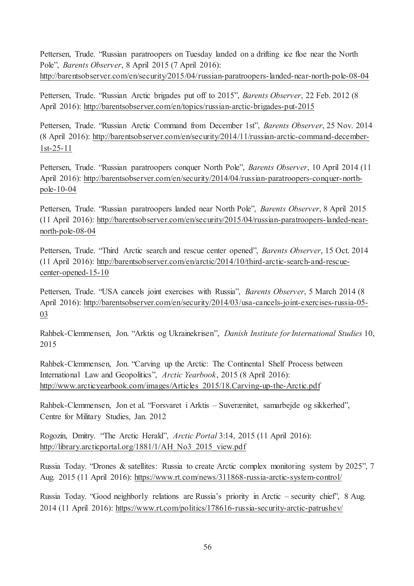Pettersen, Trude. "Russian paratroopers on Tuesday landed on a drifting ice floe near the North Pole", *Barents Observer*, 8 April 2015 (7 April 2016): http://barentsobserver.com/en/security/2015/04/russian-paratroopers-landed-near-north-pole-08-04

Pettersen, Trude. "Russian Arctic brigades put off to 2015", *Barents Observer*, 22 Feb. 2012 (8 April 2016): http://barentsobserver.com/en/topics/russian-arctic-brigades-put-2015

Pettersen, Trude. "Russian Arctic Command from December 1st", *Barents Observer*, 25 Nov. 2014 (8 April 2016): http://barentsobserver.com/en/security/2014/11/russian-arctic-command-december-1st-25-11

Pettersen, Trude. "Russian paratroopers conquer North Pole", *Barents Observer*, 10 April 2014 (11 April 2016): http://barentsobserver.com/en/security/2014/04/russian-paratroopers-conquer-northpole-10-04

Pettersen, Trude. "Russian paratroopers landed near North Pole", *Barents Observer*, 8 April 2015 (11 April 2016): http://barentsobserver.com/en/security/2015/04/russian-paratroopers-landed-nearnorth-pole-08-04

Pettersen, Trude. "Third Arctic search and rescue center opened", *Barents Observer*, 15 Oct. 2014 (11 April 2016): http://barentsobserver.com/en/arctic/2014/10/third-arctic-search-and-rescuecenter-opened-15-10

Pettersen, Trude. "USA cancels joint exercises with Russia", *Barents Observer*, 5 March 2014 (8 April 2016): http://barentsobserver.com/en/security/2014/03/usa-cancels-joint-exercises-russia-05-03

Rahbek-Clemmensen, Jon. "Arktis og Ukrainekrisen", *Danish Institute for International Studies* 10, 2015

Rahbek-Clemmensen, Jon. "Carving up the Arctic: The Continental Shelf Process between International Law and Geopolitics", *Arctic Yearbook*, 2015 (8 April 2016): http://www.arcticyearbook.com/images/Articles\_2015/18.Carving-up-the-Arctic.pdf

Rahbek-Clemmensen, Jon et al. "Forsvaret i Arktis – Suverænitet, samarbejde og sikkerhed", Centre for Military Studies, Jan. 2012

Rogozin, Dmitry. "The Arctic Herald", *Arctic Portal* 3:14, 2015 (11 April 2016): http://library.arcticportal.org/1881/1/AH\_No3\_2015\_view.pdf

Russia Today. "Drones & satellites: Russia to create Arctic complex monitoring system by 2025", 7 Aug. 2015 (11 April 2016): https://www.rt.com/news/311868-russia-arctic-system-control/

Russia Today. "Good neighborly relations are Russia's priority in Arctic – security chief", 8 Aug. 2014 (11 April 2016): https://www.rt.com/politics/178616-russia-security-arctic-patrushev/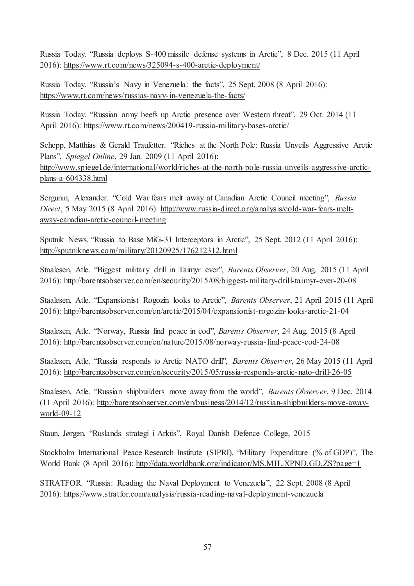Russia Today. "Russia deploys S-400 missile defense systems in Arctic", 8 Dec. 2015 (11 April 2016): https://www.rt.com/news/325094-s-400-arctic-deployment/

Russia Today. "Russia's Navy in Venezuela: the facts", 25 Sept. 2008 (8 April 2016): https://www.rt.com/news/russias-navy-in-venezuela-the-facts/

Russia Today. "Russian army beefs up Arctic presence over Western threat", 29 Oct. 2014 (11 April 2016): https://www.rt.com/news/200419-russia-military-bases-arctic/

Schepp, Matthias & Gerald Traufetter. "Riches at the North Pole: Russia Unveils Aggressive Arctic Plans", *Spiegel Online*, 29 Jan. 2009 (11 April 2016): http://www.spiegel.de/international/world/riches-at-the-north-pole-russia-unveils-aggressive-arcticplans-a-604338.html

Sergunin, Alexander. "Cold War fears melt away at Canadian Arctic Council meeting", *Russia Direct*, 5 May 2015 (8 April 2016): http://www.russia-direct.org/analysis/cold-war-fears-meltaway-canadian-arctic-council-meeting

Sputnik News. "Russia to Base MiG-31 Interceptors in Arctic", 25 Sept. 2012 (11 April 2016): http://sputniknews.com/military/20120925/176212312.html

Staalesen, Atle. "Biggest military drill in Taimyr ever", *Barents Observer*, 20 Aug. 2015 (11 April 2016): http://barentsobserver.com/en/security/2015/08/biggest-military-drill-taimyr-ever-20-08

Staalesen, Atle. "Expansionist Rogozin looks to Arctic", *Barents Observer*, 21 April 2015 (11 April 2016): http://barentsobserver.com/en/arctic/2015/04/expansionist-rogozin-looks-arctic-21-04

Staalesen, Atle. "Norway, Russia find peace in cod", *Barents Observer*, 24 Aug. 2015 (8 April 2016): http://barentsobserver.com/en/nature/2015/08/norway-russia-find-peace-cod-24-08

Staalesen, Atle. "Russia responds to Arctic NATO drill", *Barents Observer*, 26 May 2015 (11 April 2016): http://barentsobserver.com/en/security/2015/05/russia-responds-arctic-nato-drill-26-05

Staalesen, Atle. "Russian shipbuilders move away from the world", *Barents Observer*, 9 Dec. 2014 (11 April 2016): http://barentsobserver.com/en/business/2014/12/russian-shipbuilders-move-awayworld-09-12

Staun, Jørgen. "Ruslands strategi i Arktis", Royal Danish Defence College, 2015

Stockholm International Peace Research Institute (SIPRI). "Military Expenditure (% of GDP)", The World Bank (8 April 2016): http://data.worldbank.org/indicator/MS.MIL.XPND.GD.ZS?page=1

STRATFOR. "Russia: Reading the Naval Deployment to Venezuela", 22 Sept. 2008 (8 April 2016): https://www.stratfor.com/analysis/russia-reading-naval-deployment-venezuela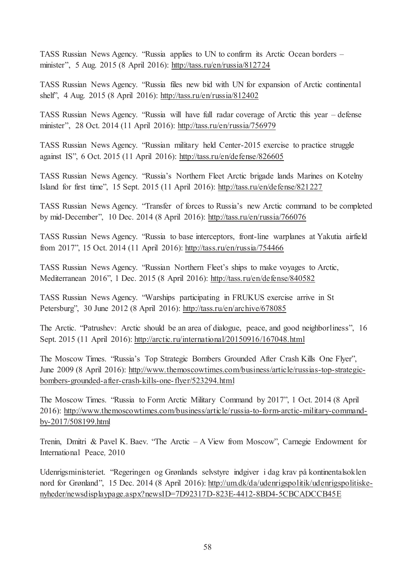TASS Russian News Agency. "Russia applies to UN to confirm its Arctic Ocean borders – minister", 5 Aug. 2015 (8 April 2016): http://tass.ru/en/russia/812724

TASS Russian News Agency. "Russia files new bid with UN for expansion of Arctic continental shelf", 4 Aug. 2015 (8 April 2016): http://tass.ru/en/russia/812402

TASS Russian News Agency. "Russia will have full radar coverage of Arctic this year – defense minister", 28 Oct. 2014 (11 April 2016): http://tass.ru/en/russia/756979

TASS Russian News Agency. "Russian military held Center-2015 exercise to practice struggle against IS", 6 Oct. 2015 (11 April 2016): http://tass.ru/en/defense/826605

TASS Russian News Agency. "Russia's Northern Fleet Arctic brigade lands Marines on Kotelny Island for first time", 15 Sept. 2015 (11 April 2016): http://tass.ru/en/defense/821227

TASS Russian News Agency. "Transfer of forces to Russia's new Arctic command to be completed by mid-December", 10 Dec. 2014 (8 April 2016): http://tass.ru/en/russia/766076

TASS Russian News Agency. "Russia to base interceptors, front-line warplanes at Yakutia airfield from 2017", 15 Oct. 2014 (11 April 2016): http://tass.ru/en/russia/754466

TASS Russian News Agency. "Russian Northern Fleet's ships to make voyages to Arctic, Mediterranean 2016", 1 Dec. 2015 (8 April 2016): http://tass.ru/en/defense/840582

TASS Russian News Agency. "Warships participating in FRUKUS exercise arrive in St Petersburg", 30 June 2012 (8 April 2016): http://tass.ru/en/archive/678085

The Arctic. "Patrushev: Arctic should be an area of dialogue, peace, and good neighborliness", 16 Sept. 2015 (11 April 2016): http://arctic.ru/international/20150916/167048.html

The Moscow Times. "Russia's Top Strategic Bombers Grounded After Crash Kills One Flyer", June 2009 (8 April 2016): http://www.themoscowtimes.com/business/article/russias-top-strategicbombers-grounded-after-crash-kills-one-flyer/523294.html

The Moscow Times. "Russia to Form Arctic Military Command by 2017", 1 Oct. 2014 (8 April 2016): http://www.themoscowtimes.com/business/article/russia-to-form-arctic-military-commandby-2017/508199.html

Trenin, Dmitri & Pavel K. Baev. "The Arctic – A View from Moscow", Carnegie Endowment for International Peace*,* 2010

Udenrigsministeriet. "Regeringen og Grønlands selvstyre indgiver i dag krav på kontinentalsoklen nord for Grønland", 15 Dec. 2014 (8 April 2016): http://um.dk/da/udenrigspolitik/udenrigspolitiskenyheder/newsdisplaypage.aspx?newsID=7D92317D-823E-4412-8BD4-5CBCADCCB45E